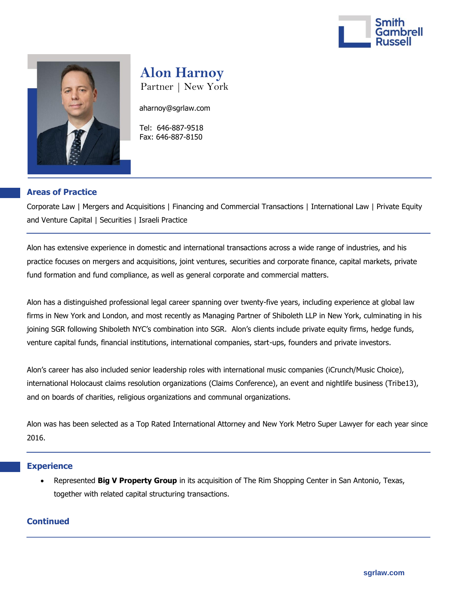



# **Alon Harnoy**

Partner | New York

[aharnoy@sgrlaw.com](mailto:aharnoy@sgrlaw.com)

 Tel: 646-887-9518 Fax: 646-887-8150

## **Areas of Practice**

Corporate Law | Mergers and Acquisitions | Financing and Commercial Transactions | International Law | Private Equity and Venture Capital | Securities | Israeli Practice

Alon has extensive experience in domestic and international transactions across a wide range of industries, and his practice focuses on mergers and acquisitions, joint ventures, securities and corporate finance, capital markets, private fund formation and fund compliance, as well as general corporate and commercial matters.

Alon has a distinguished professional legal career spanning over twenty-five years, including experience at global law firms in New York and London, and most recently as Managing Partner of Shiboleth LLP in New York, culminating in his joining SGR following Shiboleth NYC's combination into SGR. Alon's clients include private equity firms, hedge funds, venture capital funds, financial institutions, international companies, start-ups, founders and private investors.

Alon's career has also included senior leadership roles with international music companies (iCrunch/Music Choice), international Holocaust claims resolution organizations (Claims Conference), an event and nightlife business (Tribe13), and on boards of charities, religious organizations and communal organizations.

Alon was has been selected as a Top Rated International Attorney and New York Metro Super Lawyer for each year since 2016.

### **Experience**

 Represented **Big V Property Group** in its acquisition of The Rim Shopping Center in San Antonio, Texas, together with related capital structuring transactions.

### **Continued**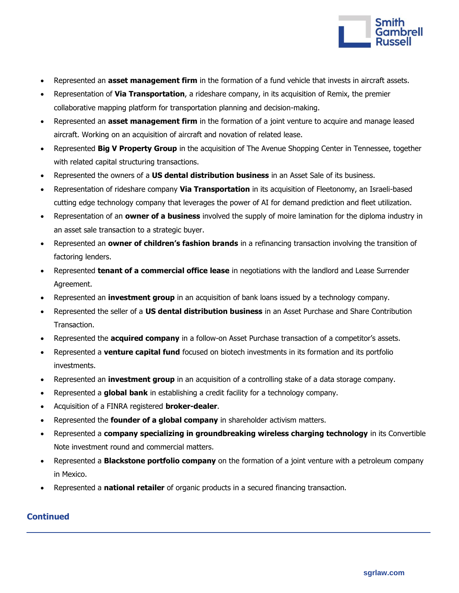

- Represented an **asset management firm** in the formation of a fund vehicle that invests in aircraft assets.
- Representation of **Via Transportation**, a rideshare company, in its acquisition of Remix, the premier collaborative mapping platform for transportation planning and decision-making.
- Represented an **asset management firm** in the formation of a joint venture to acquire and manage leased aircraft. Working on an acquisition of aircraft and novation of related lease.
- Represented **Big V Property Group** in the acquisition of The Avenue Shopping Center in Tennessee, together with related capital structuring transactions.
- Represented the owners of a **US dental distribution business** in an Asset Sale of its business.
- Representation of rideshare company **Via Transportation** in its acquisition of Fleetonomy, an Israeli-based cutting edge technology company that leverages the power of AI for demand prediction and fleet utilization.
- Representation of an **owner of a business** involved the supply of moire lamination for the diploma industry in an asset sale transaction to a strategic buyer.
- Represented an **owner of children's fashion brands** in a refinancing transaction involving the transition of factoring lenders.
- Represented **tenant of a commercial office lease** in negotiations with the landlord and Lease Surrender Agreement.
- Represented an **investment group** in an acquisition of bank loans issued by a technology company.
- Represented the seller of a **US dental distribution business** in an Asset Purchase and Share Contribution Transaction.
- Represented the **acquired company** in a follow-on Asset Purchase transaction of a competitor's assets.
- Represented a **venture capital fund** focused on biotech investments in its formation and its portfolio investments.
- Represented an **investment group** in an acquisition of a controlling stake of a data storage company.
- Represented a **global bank** in establishing a credit facility for a technology company.
- Acquisition of a FINRA registered **broker-dealer**.
- Represented the **founder of a global company** in shareholder activism matters.
- Represented a **company specializing in groundbreaking wireless charging technology** in its Convertible Note investment round and commercial matters.
- Represented a **Blackstone portfolio company** on the formation of a joint venture with a petroleum company in Mexico.
- Represented a **national retailer** of organic products in a secured financing transaction.

## **Continued**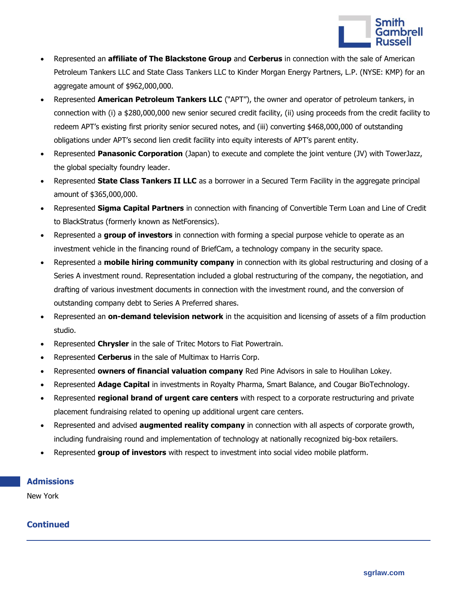

- Represented an **affiliate of The Blackstone Group** and **Cerberus** in connection with the sale of American Petroleum Tankers LLC and State Class Tankers LLC to Kinder Morgan Energy Partners, L.P. (NYSE: KMP) for an aggregate amount of \$962,000,000.
- Represented **American Petroleum Tankers LLC** ("APT"), the owner and operator of petroleum tankers, in connection with (i) a \$280,000,000 new senior secured credit facility, (ii) using proceeds from the credit facility to redeem APT's existing first priority senior secured notes, and (iii) converting \$468,000,000 of outstanding obligations under APT's second lien credit facility into equity interests of APT's parent entity.
- Represented **Panasonic Corporation** (Japan) to execute and complete the joint venture (JV) with TowerJazz, the global specialty foundry leader.
- Represented **State Class Tankers II LLC** as a borrower in a Secured Term Facility in the aggregate principal amount of \$365,000,000.
- Represented **Sigma Capital Partners** in connection with financing of Convertible Term Loan and Line of Credit to BlackStratus (formerly known as NetForensics).
- Represented a **group of investors** in connection with forming a special purpose vehicle to operate as an investment vehicle in the financing round of BriefCam, a technology company in the security space.
- Represented a **mobile hiring community company** in connection with its global restructuring and closing of a Series A investment round. Representation included a global restructuring of the company, the negotiation, and drafting of various investment documents in connection with the investment round, and the conversion of outstanding company debt to Series A Preferred shares.
- Represented an **on-demand television network** in the acquisition and licensing of assets of a film production studio.
- Represented **Chrysler** in the sale of Tritec Motors to Fiat Powertrain.
- Represented **Cerberus** in the sale of Multimax to Harris Corp.
- Represented **owners of financial valuation company** Red Pine Advisors in sale to Houlihan Lokey.
- Represented **Adage Capital** in investments in Royalty Pharma, Smart Balance, and Cougar BioTechnology.
- Represented **regional brand of urgent care centers** with respect to a corporate restructuring and private placement fundraising related to opening up additional urgent care centers.
- Represented and advised **augmented reality company** in connection with all aspects of corporate growth, including fundraising round and implementation of technology at nationally recognized big-box retailers.
- Represented **group of investors** with respect to investment into social video mobile platform.

## **Admissions**

New York

## **Continued**